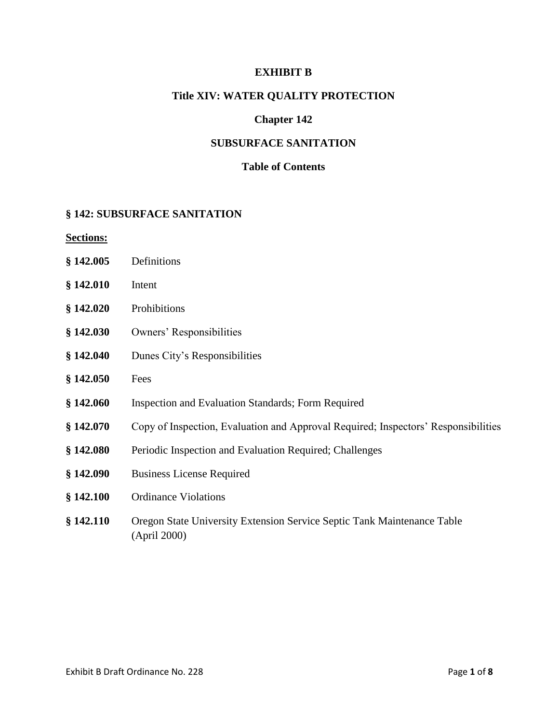#### **EXHIBIT B**

#### **Title XIV: WATER QUALITY PROTECTION**

### **Chapter 142**

### **SUBSURFACE SANITATION**

#### **Table of Contents**

#### **§ 142: SUBSURFACE SANITATION**

**Sections:**

- **§ 142.005** Definitions
- **§ 142.010** Intent
- **§ 142.020** Prohibitions
- **§ 142.030** Owners' Responsibilities
- **§ 142.040** Dunes City's Responsibilities
- **§ 142.050** Fees
- **§ 142.060** Inspection and Evaluation Standards; Form Required
- **§ 142.070** Copy of Inspection, Evaluation and Approval Required; Inspectors' Responsibilities
- **§ 142.080** Periodic Inspection and Evaluation Required; Challenges
- **§ 142.090** Business License Required
- **§ 142.100** Ordinance Violations
- **§ 142.110** Oregon State University Extension Service Septic Tank Maintenance Table (April 2000)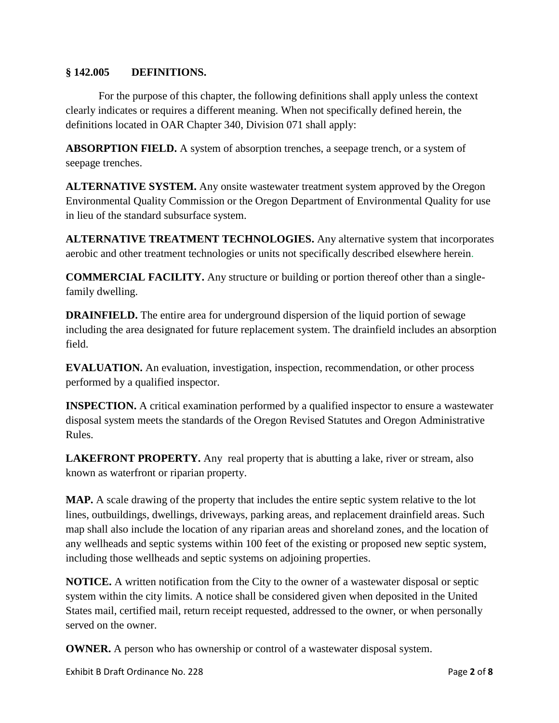### **§ 142.005 DEFINITIONS.**

For the purpose of this chapter, the following definitions shall apply unless the context clearly indicates or requires a different meaning. When not specifically defined herein, the definitions located in OAR Chapter 340, Division 071 shall apply:

**ABSORPTION FIELD.** A system of absorption trenches, a seepage trench, or a system of seepage trenches.

**ALTERNATIVE SYSTEM.** Any onsite wastewater treatment system approved by the Oregon Environmental Quality Commission or the Oregon Department of Environmental Quality for use in lieu of the standard subsurface system.

**ALTERNATIVE TREATMENT TECHNOLOGIES.** Any alternative system that incorporates aerobic and other treatment technologies or units not specifically described elsewhere herein.

**COMMERCIAL FACILITY.** Any structure or building or portion thereof other than a singlefamily dwelling.

**DRAINFIELD.** The entire area for underground dispersion of the liquid portion of sewage including the area designated for future replacement system. The drainfield includes an absorption field.

**EVALUATION.** An evaluation, investigation, inspection, recommendation, or other process performed by a qualified inspector.

**INSPECTION.** A critical examination performed by a qualified inspector to ensure a wastewater disposal system meets the standards of the Oregon Revised Statutes and Oregon Administrative Rules.

**LAKEFRONT PROPERTY.** Any real property that is abutting a lake, river or stream, also known as waterfront or riparian property.

**MAP.** A scale drawing of the property that includes the entire septic system relative to the lot lines, outbuildings, dwellings, driveways, parking areas, and replacement drainfield areas. Such map shall also include the location of any riparian areas and shoreland zones, and the location of any wellheads and septic systems within 100 feet of the existing or proposed new septic system, including those wellheads and septic systems on adjoining properties.

**NOTICE.** A written notification from the City to the owner of a wastewater disposal or septic system within the city limits. A notice shall be considered given when deposited in the United States mail, certified mail, return receipt requested, addressed to the owner, or when personally served on the owner.

**OWNER.** A person who has ownership or control of a wastewater disposal system.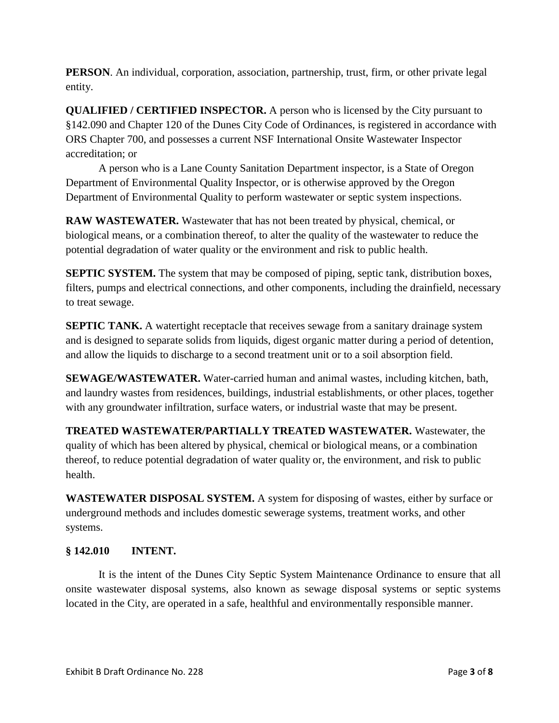**PERSON**. An individual, corporation, association, partnership, trust, firm, or other private legal entity.

**QUALIFIED / CERTIFIED INSPECTOR.** A person who is licensed by the City pursuant to §142.090 and Chapter 120 of the Dunes City Code of Ordinances, is registered in accordance with ORS Chapter 700, and possesses a current NSF International Onsite Wastewater Inspector accreditation; or

A person who is a Lane County Sanitation Department inspector, is a State of Oregon Department of Environmental Quality Inspector, or is otherwise approved by the Oregon Department of Environmental Quality to perform wastewater or septic system inspections.

**RAW WASTEWATER.** Wastewater that has not been treated by physical, chemical, or biological means, or a combination thereof, to alter the quality of the wastewater to reduce the potential degradation of water quality or the environment and risk to public health.

**SEPTIC SYSTEM.** The system that may be composed of piping, septic tank, distribution boxes, filters, pumps and electrical connections, and other components, including the drainfield, necessary to treat sewage.

**SEPTIC TANK.** A watertight receptacle that receives sewage from a sanitary drainage system and is designed to separate solids from liquids, digest organic matter during a period of detention, and allow the liquids to discharge to a second treatment unit or to a soil absorption field.

**SEWAGE/WASTEWATER.** Water-carried human and animal wastes, including kitchen, bath, and laundry wastes from residences, buildings, industrial establishments, or other places, together with any groundwater infiltration, surface waters, or industrial waste that may be present.

**TREATED WASTEWATER/PARTIALLY TREATED WASTEWATER.** Wastewater, the quality of which has been altered by physical, chemical or biological means, or a combination thereof, to reduce potential degradation of water quality or, the environment, and risk to public health.

**WASTEWATER DISPOSAL SYSTEM.** A system for disposing of wastes, either by surface or underground methods and includes domestic sewerage systems, treatment works, and other systems.

## **§ 142.010 INTENT.**

It is the intent of the Dunes City Septic System Maintenance Ordinance to ensure that all onsite wastewater disposal systems, also known as sewage disposal systems or septic systems located in the City, are operated in a safe, healthful and environmentally responsible manner.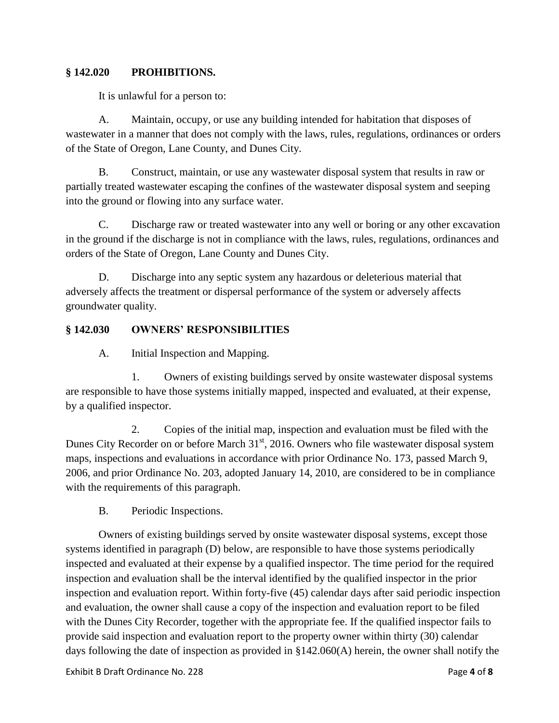### **§ 142.020 PROHIBITIONS.**

It is unlawful for a person to:

A. Maintain, occupy, or use any building intended for habitation that disposes of wastewater in a manner that does not comply with the laws, rules, regulations, ordinances or orders of the State of Oregon, Lane County, and Dunes City.

B. Construct, maintain, or use any wastewater disposal system that results in raw or partially treated wastewater escaping the confines of the wastewater disposal system and seeping into the ground or flowing into any surface water.

C. Discharge raw or treated wastewater into any well or boring or any other excavation in the ground if the discharge is not in compliance with the laws, rules, regulations, ordinances and orders of the State of Oregon, Lane County and Dunes City.

D. Discharge into any septic system any hazardous or deleterious material that adversely affects the treatment or dispersal performance of the system or adversely affects groundwater quality.

## **§ 142.030 OWNERS' RESPONSIBILITIES**

A. Initial Inspection and Mapping.

1. Owners of existing buildings served by onsite wastewater disposal systems are responsible to have those systems initially mapped, inspected and evaluated, at their expense, by a qualified inspector.

2. Copies of the initial map, inspection and evaluation must be filed with the Dunes City Recorder on or before March 31<sup>st</sup>, 2016. Owners who file wastewater disposal system maps, inspections and evaluations in accordance with prior Ordinance No. 173, passed March 9, 2006, and prior Ordinance No. 203, adopted January 14, 2010, are considered to be in compliance with the requirements of this paragraph.

B. Periodic Inspections.

Owners of existing buildings served by onsite wastewater disposal systems, except those systems identified in paragraph (D) below, are responsible to have those systems periodically inspected and evaluated at their expense by a qualified inspector. The time period for the required inspection and evaluation shall be the interval identified by the qualified inspector in the prior inspection and evaluation report. Within forty-five (45) calendar days after said periodic inspection and evaluation, the owner shall cause a copy of the inspection and evaluation report to be filed with the Dunes City Recorder, together with the appropriate fee. If the qualified inspector fails to provide said inspection and evaluation report to the property owner within thirty (30) calendar days following the date of inspection as provided in §142.060(A) herein, the owner shall notify the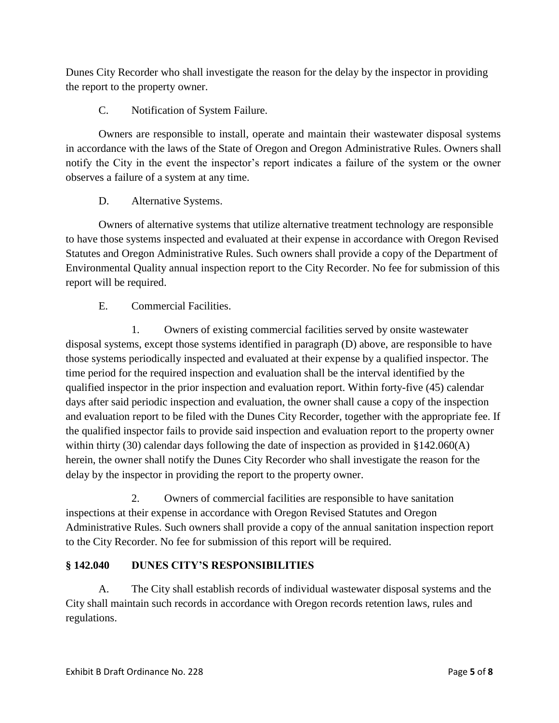Dunes City Recorder who shall investigate the reason for the delay by the inspector in providing the report to the property owner.

C. Notification of System Failure.

Owners are responsible to install, operate and maintain their wastewater disposal systems in accordance with the laws of the State of Oregon and Oregon Administrative Rules. Owners shall notify the City in the event the inspector's report indicates a failure of the system or the owner observes a failure of a system at any time.

# D. Alternative Systems.

Owners of alternative systems that utilize alternative treatment technology are responsible to have those systems inspected and evaluated at their expense in accordance with Oregon Revised Statutes and Oregon Administrative Rules. Such owners shall provide a copy of the Department of Environmental Quality annual inspection report to the City Recorder. No fee for submission of this report will be required.

E. Commercial Facilities.

1. Owners of existing commercial facilities served by onsite wastewater disposal systems, except those systems identified in paragraph (D) above, are responsible to have those systems periodically inspected and evaluated at their expense by a qualified inspector. The time period for the required inspection and evaluation shall be the interval identified by the qualified inspector in the prior inspection and evaluation report. Within forty-five (45) calendar days after said periodic inspection and evaluation, the owner shall cause a copy of the inspection and evaluation report to be filed with the Dunes City Recorder, together with the appropriate fee. If the qualified inspector fails to provide said inspection and evaluation report to the property owner within thirty (30) calendar days following the date of inspection as provided in §142.060(A) herein, the owner shall notify the Dunes City Recorder who shall investigate the reason for the delay by the inspector in providing the report to the property owner.

2. Owners of commercial facilities are responsible to have sanitation inspections at their expense in accordance with Oregon Revised Statutes and Oregon Administrative Rules. Such owners shall provide a copy of the annual sanitation inspection report to the City Recorder. No fee for submission of this report will be required.

# **§ 142.040 DUNES CITY'S RESPONSIBILITIES**

A. The City shall establish records of individual wastewater disposal systems and the City shall maintain such records in accordance with Oregon records retention laws, rules and regulations.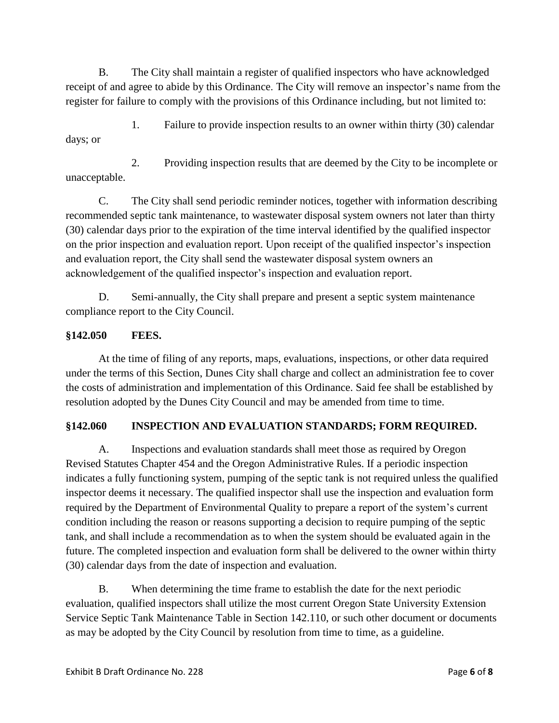B. The City shall maintain a register of qualified inspectors who have acknowledged receipt of and agree to abide by this Ordinance. The City will remove an inspector's name from the register for failure to comply with the provisions of this Ordinance including, but not limited to:

1. Failure to provide inspection results to an owner within thirty (30) calendar days; or

2. Providing inspection results that are deemed by the City to be incomplete or unacceptable.

C. The City shall send periodic reminder notices, together with information describing recommended septic tank maintenance, to wastewater disposal system owners not later than thirty (30) calendar days prior to the expiration of the time interval identified by the qualified inspector on the prior inspection and evaluation report. Upon receipt of the qualified inspector's inspection and evaluation report, the City shall send the wastewater disposal system owners an acknowledgement of the qualified inspector's inspection and evaluation report.

D. Semi-annually, the City shall prepare and present a septic system maintenance compliance report to the City Council.

# **§142.050 FEES.**

At the time of filing of any reports, maps, evaluations, inspections, or other data required under the terms of this Section, Dunes City shall charge and collect an administration fee to cover the costs of administration and implementation of this Ordinance. Said fee shall be established by resolution adopted by the Dunes City Council and may be amended from time to time.

# **§142.060 INSPECTION AND EVALUATION STANDARDS; FORM REQUIRED.**

A. Inspections and evaluation standards shall meet those as required by Oregon Revised Statutes Chapter 454 and the Oregon Administrative Rules. If a periodic inspection indicates a fully functioning system, pumping of the septic tank is not required unless the qualified inspector deems it necessary. The qualified inspector shall use the inspection and evaluation form required by the Department of Environmental Quality to prepare a report of the system's current condition including the reason or reasons supporting a decision to require pumping of the septic tank, and shall include a recommendation as to when the system should be evaluated again in the future. The completed inspection and evaluation form shall be delivered to the owner within thirty (30) calendar days from the date of inspection and evaluation.

B. When determining the time frame to establish the date for the next periodic evaluation, qualified inspectors shall utilize the most current Oregon State University Extension Service Septic Tank Maintenance Table in Section 142.110, or such other document or documents as may be adopted by the City Council by resolution from time to time, as a guideline.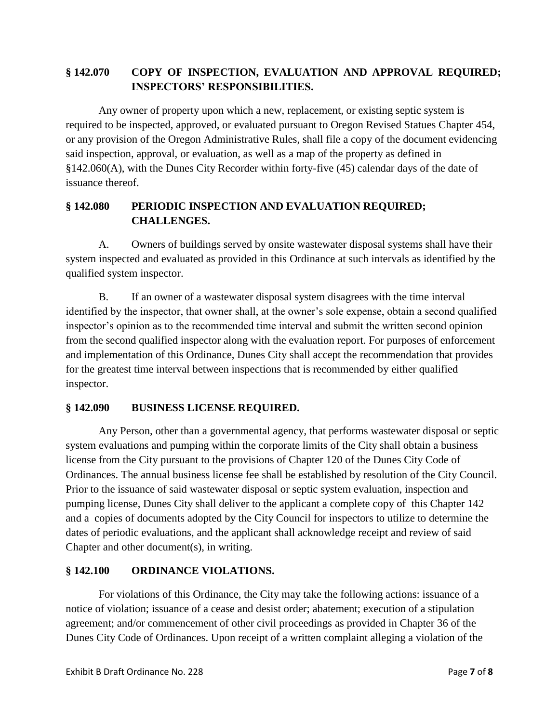# **§ 142.070 COPY OF INSPECTION, EVALUATION AND APPROVAL REQUIRED; INSPECTORS' RESPONSIBILITIES.**

Any owner of property upon which a new, replacement, or existing septic system is required to be inspected, approved, or evaluated pursuant to Oregon Revised Statues Chapter 454, or any provision of the Oregon Administrative Rules, shall file a copy of the document evidencing said inspection, approval, or evaluation, as well as a map of the property as defined in §142.060(A), with the Dunes City Recorder within forty-five (45) calendar days of the date of issuance thereof.

# **§ 142.080 PERIODIC INSPECTION AND EVALUATION REQUIRED; CHALLENGES.**

A. Owners of buildings served by onsite wastewater disposal systems shall have their system inspected and evaluated as provided in this Ordinance at such intervals as identified by the qualified system inspector.

B. If an owner of a wastewater disposal system disagrees with the time interval identified by the inspector, that owner shall, at the owner's sole expense, obtain a second qualified inspector's opinion as to the recommended time interval and submit the written second opinion from the second qualified inspector along with the evaluation report. For purposes of enforcement and implementation of this Ordinance, Dunes City shall accept the recommendation that provides for the greatest time interval between inspections that is recommended by either qualified inspector.

## **§ 142.090 BUSINESS LICENSE REQUIRED.**

Any Person, other than a governmental agency, that performs wastewater disposal or septic system evaluations and pumping within the corporate limits of the City shall obtain a business license from the City pursuant to the provisions of Chapter 120 of the Dunes City Code of Ordinances. The annual business license fee shall be established by resolution of the City Council. Prior to the issuance of said wastewater disposal or septic system evaluation, inspection and pumping license, Dunes City shall deliver to the applicant a complete copy of this Chapter 142 and a copies of documents adopted by the City Council for inspectors to utilize to determine the dates of periodic evaluations, and the applicant shall acknowledge receipt and review of said Chapter and other document(s), in writing.

## **§ 142.100 ORDINANCE VIOLATIONS.**

For violations of this Ordinance, the City may take the following actions: issuance of a notice of violation; issuance of a cease and desist order; abatement; execution of a stipulation agreement; and/or commencement of other civil proceedings as provided in Chapter 36 of the Dunes City Code of Ordinances. Upon receipt of a written complaint alleging a violation of the